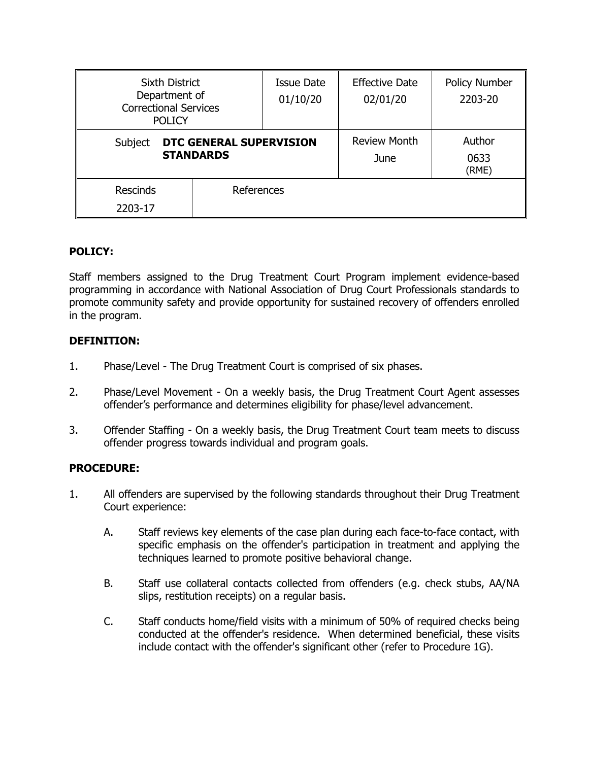| <b>Sixth District</b><br>Department of<br><b>Correctional Services</b><br><b>POLICY</b> |            | <b>Issue Date</b><br>01/10/20 | <b>Effective Date</b><br>02/01/20 | <b>Policy Number</b><br>2203-20 |
|-----------------------------------------------------------------------------------------|------------|-------------------------------|-----------------------------------|---------------------------------|
| DTC GENERAL SUPERVISION<br>Subject<br><b>STANDARDS</b>                                  |            | <b>Review Month</b><br>June   | Author<br>0633<br>(RME)           |                                 |
| <b>Rescinds</b><br>2203-17                                                              | References |                               |                                   |                                 |

# **POLICY:**

Staff members assigned to the Drug Treatment Court Program implement evidence-based programming in accordance with National Association of Drug Court Professionals standards to promote community safety and provide opportunity for sustained recovery of offenders enrolled in the program.

# **DEFINITION:**

- 1. Phase/Level The Drug Treatment Court is comprised of six phases.
- 2. Phase/Level Movement On a weekly basis, the Drug Treatment Court Agent assesses offender's performance and determines eligibility for phase/level advancement.
- 3. Offender Staffing On a weekly basis, the Drug Treatment Court team meets to discuss offender progress towards individual and program goals.

## **PROCEDURE:**

- 1. All offenders are supervised by the following standards throughout their Drug Treatment Court experience:
	- A. Staff reviews key elements of the case plan during each face-to-face contact, with specific emphasis on the offender's participation in treatment and applying the techniques learned to promote positive behavioral change.
	- B. Staff use collateral contacts collected from offenders (e.g. check stubs, AA/NA slips, restitution receipts) on a regular basis.
	- C. Staff conducts home/field visits with a minimum of 50% of required checks being conducted at the offender's residence. When determined beneficial, these visits include contact with the offender's significant other (refer to Procedure 1G).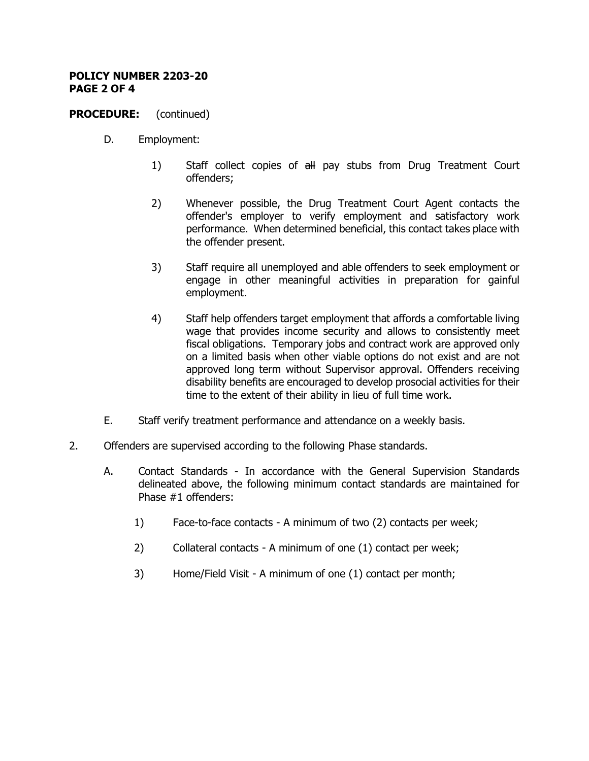### **POLICY NUMBER 2203-20 PAGE 2 OF 4**

## **PROCEDURE:** (continued)

- D. Employment:
	- 1) Staff collect copies of all pay stubs from Drug Treatment Court offenders;
	- 2) Whenever possible, the Drug Treatment Court Agent contacts the offender's employer to verify employment and satisfactory work performance. When determined beneficial, this contact takes place with the offender present.
	- 3) Staff require all unemployed and able offenders to seek employment or engage in other meaningful activities in preparation for gainful employment.
	- 4) Staff help offenders target employment that affords a comfortable living wage that provides income security and allows to consistently meet fiscal obligations. Temporary jobs and contract work are approved only on a limited basis when other viable options do not exist and are not approved long term without Supervisor approval. Offenders receiving disability benefits are encouraged to develop prosocial activities for their time to the extent of their ability in lieu of full time work.
- E. Staff verify treatment performance and attendance on a weekly basis.
- 2. Offenders are supervised according to the following Phase standards.
	- A. Contact Standards In accordance with the General Supervision Standards delineated above, the following minimum contact standards are maintained for Phase #1 offenders:
		- 1) Face-to-face contacts A minimum of two (2) contacts per week;
		- 2) Collateral contacts A minimum of one (1) contact per week;
		- 3) Home/Field Visit A minimum of one (1) contact per month;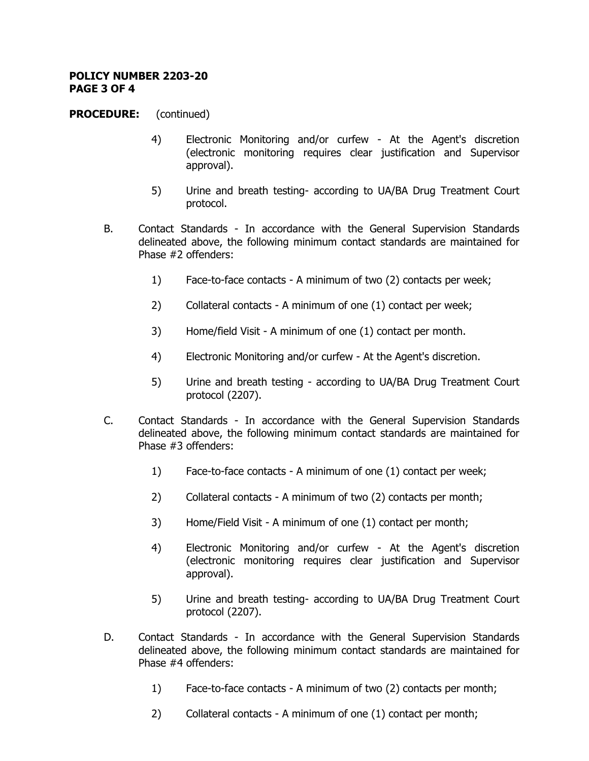### **POLICY NUMBER 2203-20 PAGE 3 OF 4**

## **PROCEDURE:** (continued)

- 4) Electronic Monitoring and/or curfew At the Agent's discretion (electronic monitoring requires clear justification and Supervisor approval).
- 5) Urine and breath testing- according to UA/BA Drug Treatment Court protocol.
- B. Contact Standards In accordance with the General Supervision Standards delineated above, the following minimum contact standards are maintained for Phase #2 offenders:
	- 1) Face-to-face contacts A minimum of two (2) contacts per week;
	- 2) Collateral contacts A minimum of one (1) contact per week;
	- 3) Home/field Visit A minimum of one (1) contact per month.
	- 4) Electronic Monitoring and/or curfew At the Agent's discretion.
	- 5) Urine and breath testing according to UA/BA Drug Treatment Court protocol (2207).
- C. Contact Standards In accordance with the General Supervision Standards delineated above, the following minimum contact standards are maintained for Phase #3 offenders:
	- 1) Face-to-face contacts A minimum of one (1) contact per week;
	- 2) Collateral contacts A minimum of two (2) contacts per month;
	- 3) Home/Field Visit A minimum of one (1) contact per month;
	- 4) Electronic Monitoring and/or curfew At the Agent's discretion (electronic monitoring requires clear justification and Supervisor approval).
	- 5) Urine and breath testing- according to UA/BA Drug Treatment Court protocol (2207).
- D. Contact Standards In accordance with the General Supervision Standards delineated above, the following minimum contact standards are maintained for Phase #4 offenders:
	- 1) Face-to-face contacts A minimum of two (2) contacts per month;
	- 2) Collateral contacts A minimum of one (1) contact per month;